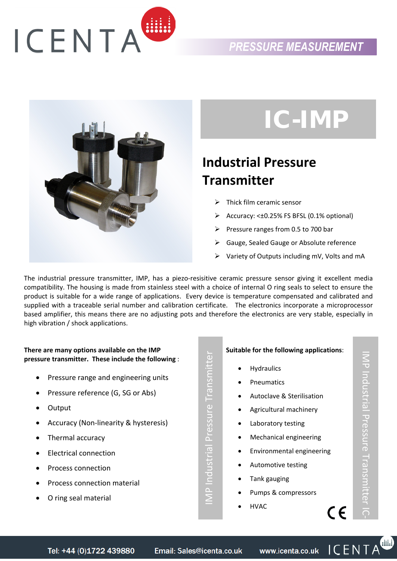# ICENTA

### *PRESSURE MEASUREMENT*



# IC-IMP

# **Industrial Pressure Transmitter**

- ¾ Thick film ceramic sensor
- $\triangleright$  Accuracy: < $\pm$ 0.25% FS BFSL (0.1% optional)
- $\triangleright$  Pressure ranges from 0.5 to 700 bar
- Gauge, Sealed Gauge or Absolute reference
- Variety of Outputs including mV, Volts and mA

The industrial pressure transmitter, IMP, has a piezo-resisitive ceramic pressure sensor giving it excellent media compatibility. The housing is made from stainless steel with a choice of internal O ring seals to select to ensure the product is suitable for a wide range of applications. Every device is temperature compensated and calibrated and supplied with a traceable serial number and calibration certificate. The electronics incorporate a microprocessor based amplifier, this means there are no adjusting pots and therefore the electronics are very stable, especially in high vibration / shock applications.

#### **There are many options available on the IMP pressure transmitter. These include the following** :

- Pressure range and engineering units
- Pressure reference (G, SG or Abs)
- Output
- Accuracy (Non‐linearity & hysteresis)
- Thermal accuracy
- Electrical connection
- Process connection
- Process connection material
- O ring seal material

**Suitable for the following applications**:

- **Hydraulics**
- Pneumatics
- Autoclave & Sterilisation
- Agricultural machinery
- Laboratory testing
- Mechanical engineering
- Environmental engineering
- Automotive testing
- Tank gauging
- Pumps & compressors
- HVAC

 $\bigcirc$ 

 $\epsilon$ 

IMP Industrial Pressure Transmitter

MP Industrial Pressure Transmitter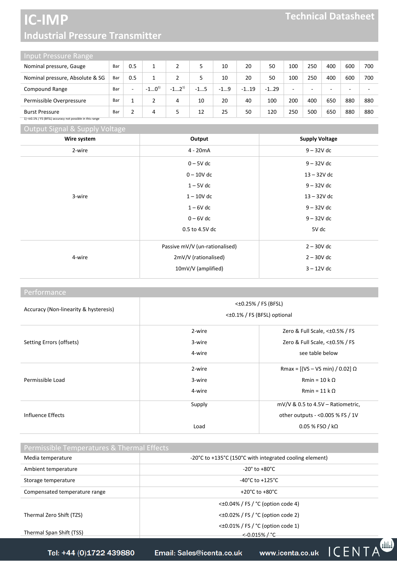## **IC-IMP Industrial Pressure Transmitter**

| Input Pressure Range            |     |     |           |           |       |       |         |         |     |     |     |     |            |
|---------------------------------|-----|-----|-----------|-----------|-------|-------|---------|---------|-----|-----|-----|-----|------------|
| Nominal pressure, Gauge         | Bar | 0.5 |           |           |       | 10    | 20      | 50      | 100 | 250 | 400 | 600 | <b>700</b> |
| Nominal pressure, Absolute & SG | Bar | 0.5 |           |           |       | 10    | 20      | 50      | 100 | 250 | 400 | 600 | <b>700</b> |
| Compound Range                  | Bar |     | $-10^{1}$ | $-12^{1}$ | $-15$ | $-19$ | $-1.19$ | $-1.29$ | -   | -   |     |     |            |
| Permissible Overpressure        | Bar |     |           | 4         | 10    | 20    | 40      | 100     | 200 | 400 | 650 | 880 | 880        |

Burst Pressure Bar 2 4 5 12 25 50 120 250 500 650 880 880 1) <±0.1% / FS (BFSL) accuracy not possible in this range

Output Signal & Supply Voltage

| and the contract of the con-<br>- - -<br>Wire system | Output                         | <b>Supply Voltage</b> |
|------------------------------------------------------|--------------------------------|-----------------------|
| 2-wire                                               | 4 - 20mA                       | $9 - 32V$ dc          |
|                                                      | $0 - 5V$ dc                    | $9 - 32V$ dc          |
|                                                      | $0 - 10V$ dc                   | $13 - 32V$ dc         |
|                                                      | $1 - 5V$ dc                    | $9 - 32V$ dc          |
| 3-wire                                               | $1 - 10V$ dc                   | $13 - 32V$ dc         |
|                                                      | $1 - 6V$ dc                    | $9 - 32V$ dc          |
|                                                      | $0 - 6V$ dc                    | $9 - 32V$ dc          |
|                                                      | 0.5 to 4.5V dc                 | 5V dc                 |
|                                                      | Passive mV/V (un-rationalised) | $2 - 30V$ dc          |
| 4-wire                                               | 2mV/V (rationalised)           | $2 - 30V$ dc          |
|                                                      | 10mV/V (amplified)             | $3 - 12V$ dc          |
|                                                      |                                |                       |

#### Performance

| Accuracy (Non-linearity & hysteresis) | $<\pm 0.25\%$ / FS (BFSL)<br>< $\pm 0.1\%$ / FS (BFSL) optional |                                      |  |  |  |  |
|---------------------------------------|-----------------------------------------------------------------|--------------------------------------|--|--|--|--|
|                                       | 2-wire                                                          | Zero & Full Scale, $<\pm 0.5\%$ / FS |  |  |  |  |
| Setting Errors (offsets)              | 3-wire                                                          | Zero & Full Scale, $<\pm 0.5\%$ / FS |  |  |  |  |
|                                       | 4-wire                                                          | see table below                      |  |  |  |  |
|                                       | 2-wire                                                          | Rmax = [(VS – VS min) / 0.02] Ω      |  |  |  |  |
| Permissible Load                      | 3-wire                                                          | $Rmin = 10 k \Omega$                 |  |  |  |  |
|                                       | 4-wire                                                          | $Rmin = 11 k \Omega$                 |  |  |  |  |
|                                       | Supply                                                          | $mV/V$ & 0.5 to 4.5V – Ratiometric,  |  |  |  |  |
| Influence Effects                     |                                                                 | other outputs - < 0.005 % FS / 1V    |  |  |  |  |
|                                       | Load                                                            | $0.05$ % FSO / kΩ                    |  |  |  |  |

| Permissible Temperatures & Thermal Effects |                                                         |                                         |  |  |  |  |  |  |  |
|--------------------------------------------|---------------------------------------------------------|-----------------------------------------|--|--|--|--|--|--|--|
| Media temperature                          | -20°C to +135°C (150°C with integrated cooling element) |                                         |  |  |  |  |  |  |  |
| Ambient temperature                        |                                                         | $-20^\circ$ to $+80^\circ$ C            |  |  |  |  |  |  |  |
| Storage temperature                        | $-40^{\circ}$ C to $+125^{\circ}$ C                     |                                         |  |  |  |  |  |  |  |
| Compensated temperature range              | $+20^{\circ}$ C to $+80^{\circ}$ C                      |                                         |  |  |  |  |  |  |  |
|                                            |                                                         | $\leq$ ±0.04% / FS / °C (option code 4) |  |  |  |  |  |  |  |
| Thermal Zero Shift (TZS)                   |                                                         | $\leq$ ±0.02% / FS / °C (option code 2) |  |  |  |  |  |  |  |
| Thermal Span Shift (TSS)                   | $\leq$ ±0.01% / FS / °C (option code 1)<br><-0.015%/°C  |                                         |  |  |  |  |  |  |  |
|                                            |                                                         |                                         |  |  |  |  |  |  |  |
| Tel: +44 (0)1722 439880                    | Email: Sales@icenta.co.uk                               | www.icenta.co.uk ICENTA                 |  |  |  |  |  |  |  |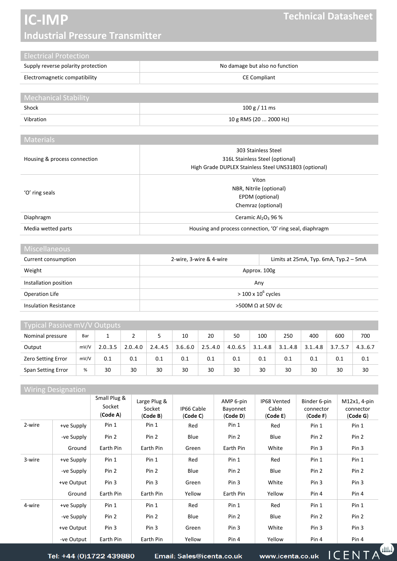# **IC-IMP Industrial Pressure Transmitter**

| <b>Electrical Protection</b>       |                                |
|------------------------------------|--------------------------------|
| Supply reverse polarity protection | No damage but also no function |
| Electromagnetic compatibility      | <b>CE Compliant</b>            |
|                                    |                                |

| <b>Mechanical Stability</b> |                        |
|-----------------------------|------------------------|
| Shock                       | 100 g / 11 ms          |
| Vibration                   | 10 g RMS (20  2000 Hz) |

#### **Materials**

| Housing & process connection | 303 Stainless Steel<br>316L Stainless Steel (optional)<br>High Grade DUPLEX Stainless Steel UNS31803 (optional) |
|------------------------------|-----------------------------------------------------------------------------------------------------------------|
| 'O' ring seals               | Viton<br>NBR, Nitrile (optional)<br>EPDM (optional)<br>Chemraz (optional)                                       |
| Diaphragm                    | Ceramic Al <sub>2</sub> O <sub>3</sub> 96 %                                                                     |
| Media wetted parts           | Housing and process connection, 'O' ring seal, diaphragm                                                        |

#### **Miscellaneous**

| 2-wire, 3-wire & 4-wire<br>Limits at $25mA$ , Typ. 6mA, Typ. $2-5mA$ |                                                  |  |  |  |  |
|----------------------------------------------------------------------|--------------------------------------------------|--|--|--|--|
|                                                                      |                                                  |  |  |  |  |
| Any                                                                  |                                                  |  |  |  |  |
|                                                                      |                                                  |  |  |  |  |
|                                                                      | >500M Ω at 50V dc                                |  |  |  |  |
|                                                                      | Approx. 100g<br>$>$ 100 x 10 <sup>6</sup> cycles |  |  |  |  |

| Typical Passive mV/V Outputs |      |        |        |        |         |        |         |        |        |        |                      |        |
|------------------------------|------|--------|--------|--------|---------|--------|---------|--------|--------|--------|----------------------|--------|
| Nominal pressure             | Bar  |        |        |        | 10      | 20     | 50      | 100    | 250    | 400    | 600                  | 700    |
| Output                       | mV/V | 2.03.5 | 2.04.0 | 2.44.5 | 3.6.6.0 | 2.54.0 | 4.0.6.5 | 3.14.8 | 3.14.8 | 3.14.8 | 3.7 <sub>0.5.7</sub> | 4.36.7 |
| <b>Zero Setting Error</b>    | mV/V | 0.1    | 0.1    | 0.1    | 0.1     | 0.1    | 0.1     | 0.1    | 0.1    | 0.1    | 0.1                  | 0.1    |
| Span Setting Error           | %    | 30     | 30     | 30     | 30      | 30     | 30      | 30     | 30     | 30     | 30                   | 30     |

#### Wiring Designation

|        |            | Small Plug &<br>Socket<br>(Code A) | Large Plug &<br>Socket<br>(Code B) | IP66 Cable<br>(Code C) | AMP 6-pin<br>Bayonnet<br>(Code D) | IP68 Vented<br>Cable<br>(Code E) | Binder 6-pin<br>connector<br>(Code F) | M12x1, 4-pin<br>connector<br>(Code G) |
|--------|------------|------------------------------------|------------------------------------|------------------------|-----------------------------------|----------------------------------|---------------------------------------|---------------------------------------|
| 2-wire | +ve Supply | Pin 1                              | Pin 1                              | Red                    | Pin 1                             | Red                              | Pin 1                                 | Pin 1                                 |
|        | -ve Supply | Pin 2                              | Pin 2                              | Blue                   | Pin 2                             | Blue                             | Pin 2                                 | Pin 2                                 |
|        | Ground     | Earth Pin                          | Earth Pin                          | Green                  | Earth Pin                         | White                            | Pin 3                                 | Pin 3                                 |
| 3-wire | +ve Supply | Pin 1                              | Pin 1                              | Red                    | Pin 1                             | Red                              | Pin 1                                 | Pin 1                                 |
|        | -ve Supply | Pin 2                              | Pin 2                              | Blue                   | Pin 2                             | Blue                             | Pin <sub>2</sub>                      | Pin 2                                 |
|        | +ve Output | Pin 3                              | Pin 3                              | Green                  | Pin 3                             | White                            | Pin 3                                 | Pin 3                                 |
|        | Ground     | Earth Pin                          | Earth Pin                          | Yellow                 | Earth Pin                         | Yellow                           | Pin 4                                 | Pin 4                                 |
| 4-wire | +ve Supply | Pin 1                              | Pin 1                              | Red                    | Pin 1                             | Red                              | Pin 1                                 | Pin 1                                 |
|        | -ve Supply | Pin 2                              | Pin 2                              | Blue                   | Pin 2                             | Blue                             | Pin 2                                 | Pin 2                                 |
|        | +ve Output | Pin 3                              | Pin 3                              | Green                  | Pin 3                             | White                            | Pin <sub>3</sub>                      | Pin 3                                 |
|        | -ve Output | Earth Pin                          | Earth Pin                          | Yellow                 | Pin 4                             | Yellow                           | Pin <sub>4</sub>                      | Pin 4                                 |

Tel: +44 (0)1722 439880

Email: Sales@icenta.co.uk

www.icenta.co.uk